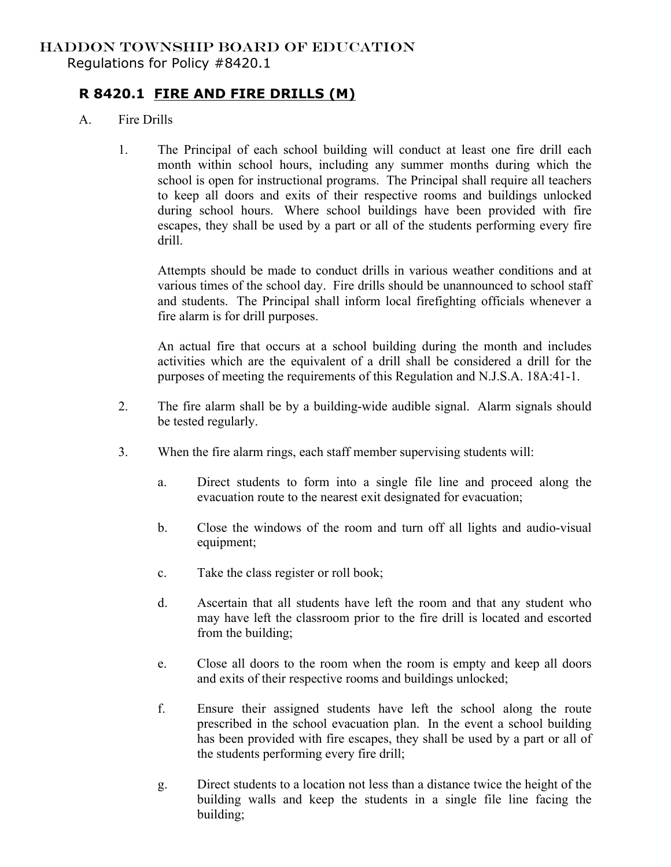## HADDON TOWNSHIP BOARD OF EDUCATION Regulations for Policy #8420.1

## **R 8420.1 FIRE AND FIRE DRILLS (M)**

- A. Fire Drills
	- 1. The Principal of each school building will conduct at least one fire drill each month within school hours, including any summer months during which the school is open for instructional programs. The Principal shall require all teachers to keep all doors and exits of their respective rooms and buildings unlocked during school hours. Where school buildings have been provided with fire escapes, they shall be used by a part or all of the students performing every fire drill.

Attempts should be made to conduct drills in various weather conditions and at various times of the school day. Fire drills should be unannounced to school staff and students. The Principal shall inform local firefighting officials whenever a fire alarm is for drill purposes.

An actual fire that occurs at a school building during the month and includes activities which are the equivalent of a drill shall be considered a drill for the purposes of meeting the requirements of this Regulation and N.J.S.A. 18A:41-1.

- 2. The fire alarm shall be by a building-wide audible signal. Alarm signals should be tested regularly.
- 3. When the fire alarm rings, each staff member supervising students will:
	- a. Direct students to form into a single file line and proceed along the evacuation route to the nearest exit designated for evacuation;
	- b. Close the windows of the room and turn off all lights and audio-visual equipment;
	- c. Take the class register or roll book;
	- d. Ascertain that all students have left the room and that any student who may have left the classroom prior to the fire drill is located and escorted from the building;
	- e. Close all doors to the room when the room is empty and keep all doors and exits of their respective rooms and buildings unlocked;
	- f. Ensure their assigned students have left the school along the route prescribed in the school evacuation plan. In the event a school building has been provided with fire escapes, they shall be used by a part or all of the students performing every fire drill;
	- g. Direct students to a location not less than a distance twice the height of the building walls and keep the students in a single file line facing the building;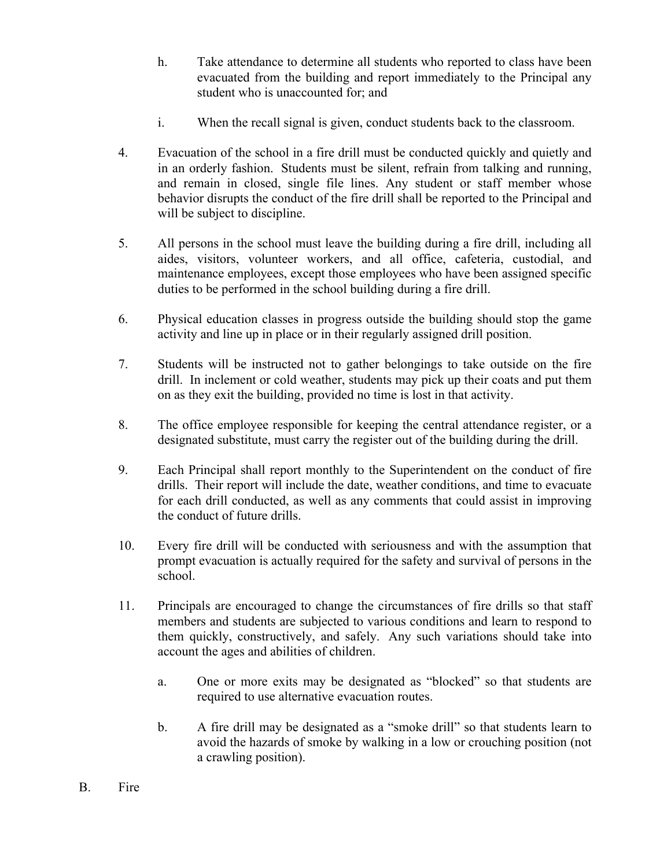- h. Take attendance to determine all students who reported to class have been evacuated from the building and report immediately to the Principal any student who is unaccounted for; and
- i. When the recall signal is given, conduct students back to the classroom.
- 4. Evacuation of the school in a fire drill must be conducted quickly and quietly and in an orderly fashion. Students must be silent, refrain from talking and running, and remain in closed, single file lines. Any student or staff member whose behavior disrupts the conduct of the fire drill shall be reported to the Principal and will be subject to discipline.
- 5. All persons in the school must leave the building during a fire drill, including all aides, visitors, volunteer workers, and all office, cafeteria, custodial, and maintenance employees, except those employees who have been assigned specific duties to be performed in the school building during a fire drill.
- 6. Physical education classes in progress outside the building should stop the game activity and line up in place or in their regularly assigned drill position.
- 7. Students will be instructed not to gather belongings to take outside on the fire drill. In inclement or cold weather, students may pick up their coats and put them on as they exit the building, provided no time is lost in that activity.
- 8. The office employee responsible for keeping the central attendance register, or a designated substitute, must carry the register out of the building during the drill.
- 9. Each Principal shall report monthly to the Superintendent on the conduct of fire drills. Their report will include the date, weather conditions, and time to evacuate for each drill conducted, as well as any comments that could assist in improving the conduct of future drills.
- 10. Every fire drill will be conducted with seriousness and with the assumption that prompt evacuation is actually required for the safety and survival of persons in the school.
- 11. Principals are encouraged to change the circumstances of fire drills so that staff members and students are subjected to various conditions and learn to respond to them quickly, constructively, and safely. Any such variations should take into account the ages and abilities of children.
	- a. One or more exits may be designated as "blocked" so that students are required to use alternative evacuation routes.
	- b. A fire drill may be designated as a "smoke drill" so that students learn to avoid the hazards of smoke by walking in a low or crouching position (not a crawling position).
- B. Fire